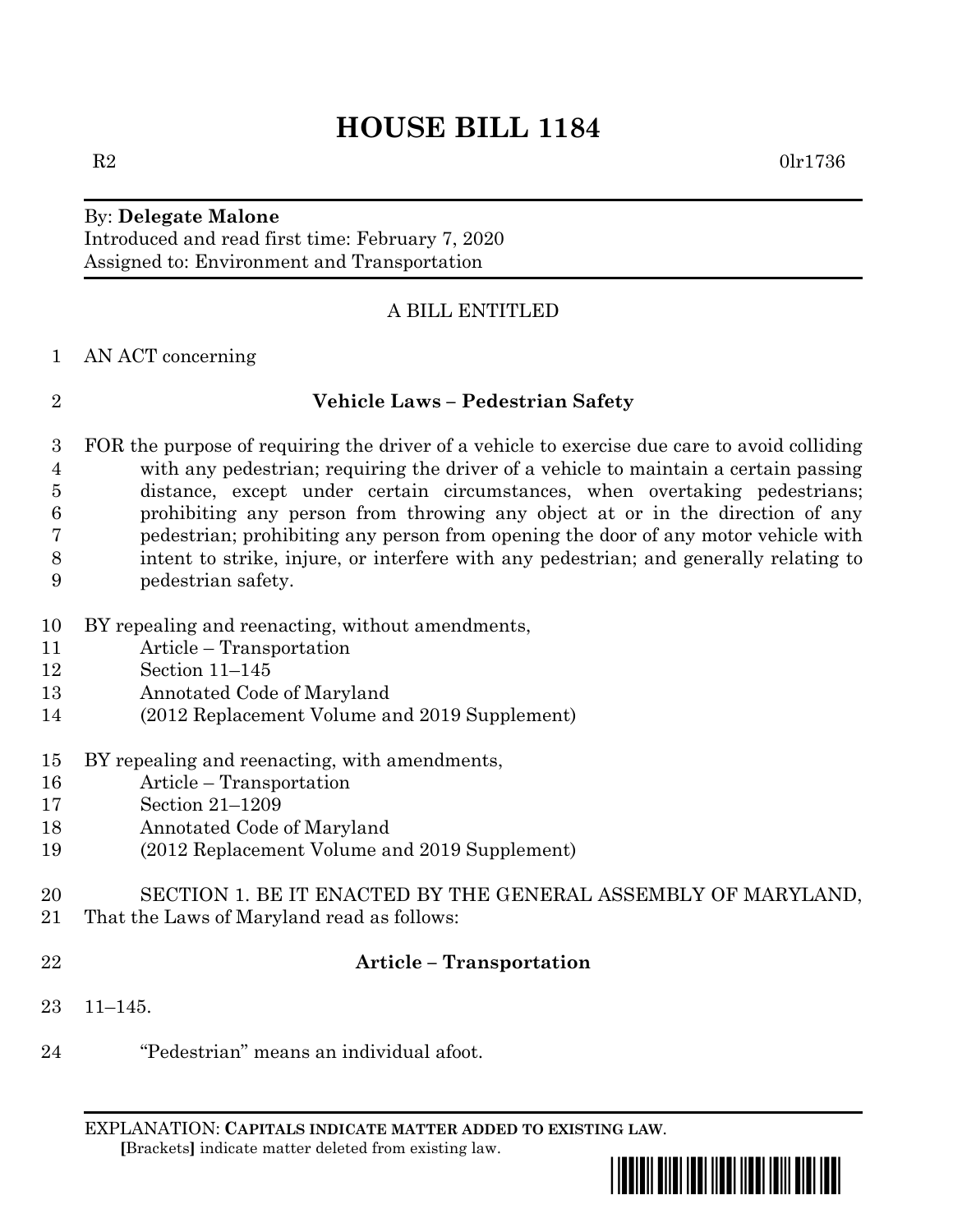# **HOUSE BILL 1184**

### By: **Delegate Malone** Introduced and read first time: February 7, 2020

Assigned to: Environment and Transportation

## A BILL ENTITLED

#### AN ACT concerning

# **Vehicle Laws – Pedestrian Safety**

- FOR the purpose of requiring the driver of a vehicle to exercise due care to avoid colliding with any pedestrian; requiring the driver of a vehicle to maintain a certain passing distance, except under certain circumstances, when overtaking pedestrians; prohibiting any person from throwing any object at or in the direction of any pedestrian; prohibiting any person from opening the door of any motor vehicle with intent to strike, injure, or interfere with any pedestrian; and generally relating to pedestrian safety.
- BY repealing and reenacting, without amendments,
- Article Transportation
- Section 11–145
- Annotated Code of Maryland
- (2012 Replacement Volume and 2019 Supplement)
- BY repealing and reenacting, with amendments,
- Article Transportation
- Section 21–1209
- Annotated Code of Maryland
- (2012 Replacement Volume and 2019 Supplement)
- SECTION 1. BE IT ENACTED BY THE GENERAL ASSEMBLY OF MARYLAND,
- That the Laws of Maryland read as follows:
- 

#### **Article – Transportation**

- 11–145.
- "Pedestrian" means an individual afoot.

EXPLANATION: **CAPITALS INDICATE MATTER ADDED TO EXISTING LAW**.  **[**Brackets**]** indicate matter deleted from existing law.